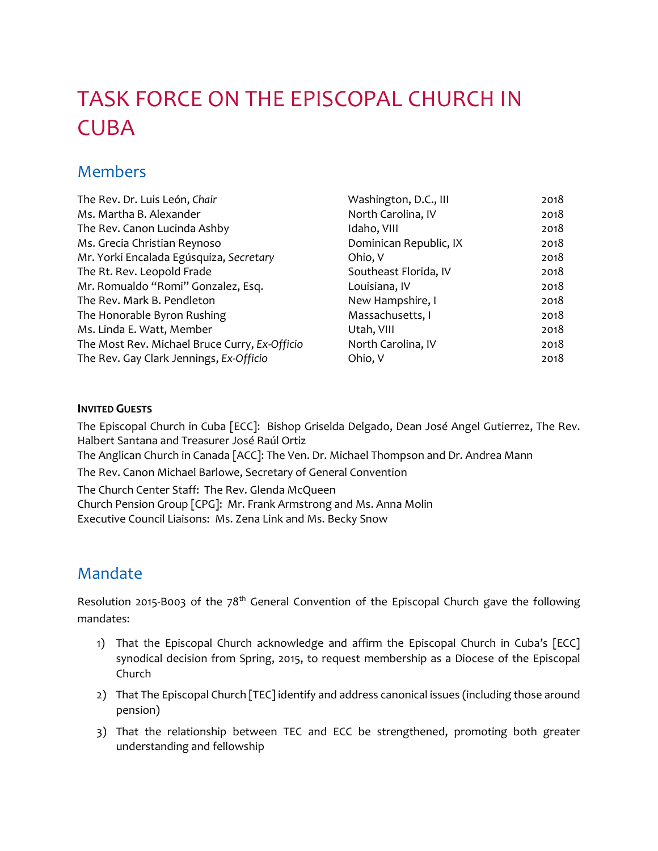# TASK FORCE ON THE EPISCOPAL CHURCH IN CUBA

### Members

| The Rev. Dr. Luis León, Chair                 | Washington, D.C., III  | 2018 |
|-----------------------------------------------|------------------------|------|
| Ms. Martha B. Alexander                       | North Carolina, IV     | 2018 |
| The Rev. Canon Lucinda Ashby                  | Idaho, VIII            | 2018 |
| Ms. Grecia Christian Reynoso                  | Dominican Republic, IX | 2018 |
| Mr. Yorki Encalada Egúsquiza, Secretary       | Ohio, V                | 2018 |
| The Rt. Rev. Leopold Frade                    | Southeast Florida, IV  | 2018 |
| Mr. Romualdo "Romi" Gonzalez, Esq.            | Louisiana, IV          | 2018 |
| The Rev. Mark B. Pendleton                    | New Hampshire, I       | 2018 |
| The Honorable Byron Rushing                   | Massachusetts, I       | 2018 |
| Ms. Linda E. Watt, Member                     | Utah, VIII             | 2018 |
| The Most Rev. Michael Bruce Curry, Ex-Officio | North Carolina, IV     | 2018 |
| The Rev. Gay Clark Jennings, Ex-Officio       | Ohio, V                | 2018 |

#### **INVITED GUESTS**

The Episcopal Church in Cuba [ECC]: Bishop Griselda Delgado, Dean José Angel Gutierrez, The Rev. Halbert Santana and Treasurer José Raúl Ortiz

The Anglican Church in Canada [ACC]: The Ven. Dr. Michael Thompson and Dr. Andrea Mann

The Rev. Canon Michael Barlowe, Secretary of General Convention

The Church Center Staff: The Rev. Glenda McQueen Church Pension Group [CPG]: Mr. Frank Armstrong and Ms. Anna Molin Executive Council Liaisons: Ms. Zena Link and Ms. Becky Snow

## Mandate

Resolution 2015-B003 of the 78<sup>th</sup> General Convention of the Episcopal Church gave the following mandates:

- 1) That the Episcopal Church acknowledge and affirm the Episcopal Church in Cuba's [ECC] synodical decision from Spring, 2015, to request membership as a Diocese of the Episcopal Church
- 2) That The Episcopal Church [TEC] identify and address canonical issues (including those around pension)
- 3) That the relationship between TEC and ECC be strengthened, promoting both greater understanding and fellowship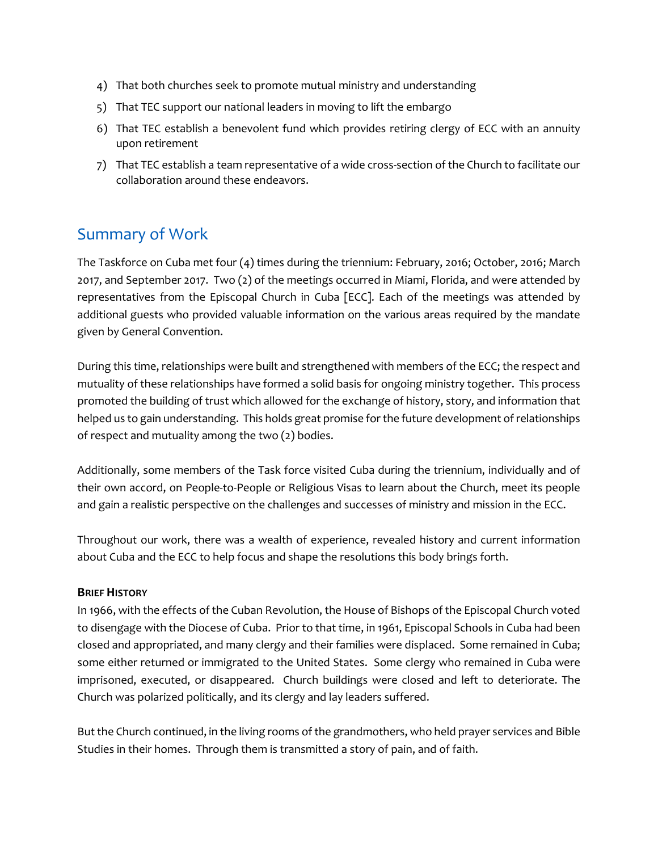- 4) That both churches seek to promote mutual ministry and understanding
- 5) That TEC support our national leaders in moving to lift the embargo
- 6) That TEC establish a benevolent fund which provides retiring clergy of ECC with an annuity upon retirement
- 7) That TEC establish a team representative of a wide cross-section of the Church to facilitate our collaboration around these endeavors.

### Summary of Work

The Taskforce on Cuba met four (4) times during the triennium: February, 2016; October, 2016; March 2017, and September 2017. Two (2) of the meetings occurred in Miami, Florida, and were attended by representatives from the Episcopal Church in Cuba [ECC]. Each of the meetings was attended by additional guests who provided valuable information on the various areas required by the mandate given by General Convention.

During this time, relationships were built and strengthened with members of the ECC; the respect and mutuality of these relationships have formed a solid basis for ongoing ministry together. This process promoted the building of trust which allowed for the exchange of history, story, and information that helped us to gain understanding. This holds great promise for the future development of relationships of respect and mutuality among the two (2) bodies.

Additionally, some members of the Task force visited Cuba during the triennium, individually and of their own accord, on People-to-People or Religious Visas to learn about the Church, meet its people and gain a realistic perspective on the challenges and successes of ministry and mission in the ECC.

Throughout our work, there was a wealth of experience, revealed history and current information about Cuba and the ECC to help focus and shape the resolutions this body brings forth.

#### **BRIEF HISTORY**

In 1966, with the effects of the Cuban Revolution, the House of Bishops of the Episcopal Church voted to disengage with the Diocese of Cuba. Prior to that time, in 1961, Episcopal Schools in Cuba had been closed and appropriated, and many clergy and their families were displaced. Some remained in Cuba; some either returned or immigrated to the United States. Some clergy who remained in Cuba were imprisoned, executed, or disappeared. Church buildings were closed and left to deteriorate. The Church was polarized politically, and its clergy and lay leaders suffered.

But the Church continued, in the living rooms of the grandmothers, who held prayer services and Bible Studies in their homes. Through them is transmitted a story of pain, and of faith.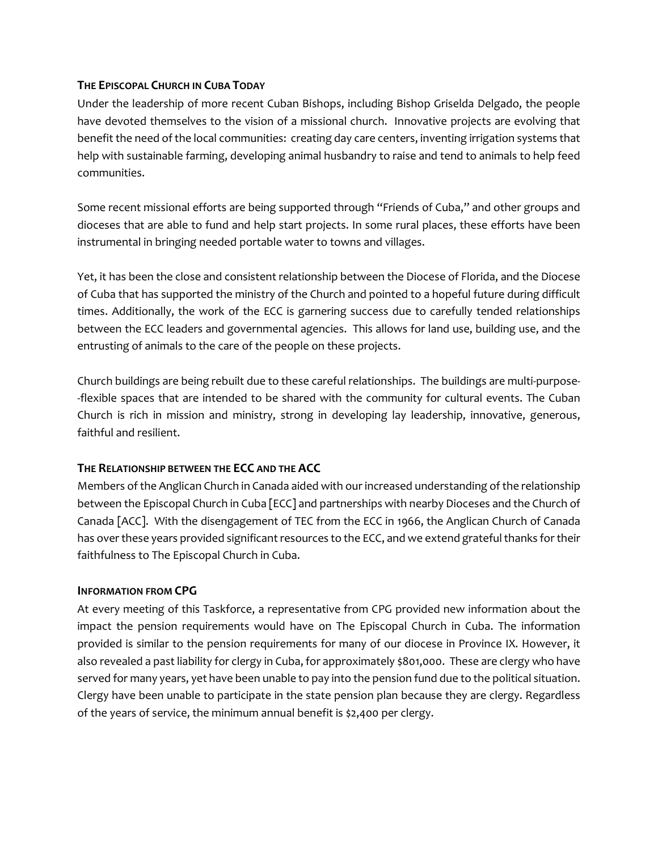#### **THE EPISCOPAL CHURCH IN CUBA TODAY**

Under the leadership of more recent Cuban Bishops, including Bishop Griselda Delgado, the people have devoted themselves to the vision of a missional church. Innovative projects are evolving that benefit the need of the local communities: creating day care centers, inventing irrigation systems that help with sustainable farming, developing animal husbandry to raise and tend to animals to help feed communities.

Some recent missional efforts are being supported through "Friends of Cuba," and other groups and dioceses that are able to fund and help start projects. In some rural places, these efforts have been instrumental in bringing needed portable water to towns and villages.

Yet, it has been the close and consistent relationship between the Diocese of Florida, and the Diocese of Cuba that has supported the ministry of the Church and pointed to a hopeful future during difficult times. Additionally, the work of the ECC is garnering success due to carefully tended relationships between the ECC leaders and governmental agencies. This allows for land use, building use, and the entrusting of animals to the care of the people on these projects.

Church buildings are being rebuilt due to these careful relationships. The buildings are multi-purpose- -flexible spaces that are intended to be shared with the community for cultural events. The Cuban Church is rich in mission and ministry, strong in developing lay leadership, innovative, generous, faithful and resilient.

#### **THE RELATIONSHIP BETWEEN THE ECC AND THE ACC**

Members of the Anglican Church in Canada aided with our increased understanding of the relationship between the Episcopal Church in Cuba [ECC] and partnerships with nearby Dioceses and the Church of Canada [ACC]. With the disengagement of TEC from the ECC in 1966, the Anglican Church of Canada has over these years provided significant resources to the ECC, and we extend grateful thanks for their faithfulness to The Episcopal Church in Cuba.

#### **INFORMATION FROM CPG**

At every meeting of this Taskforce, a representative from CPG provided new information about the impact the pension requirements would have on The Episcopal Church in Cuba. The information provided is similar to the pension requirements for many of our diocese in Province IX. However, it also revealed a past liability for clergy in Cuba, for approximately \$801,000. These are clergy who have served for many years, yet have been unable to pay into the pension fund due to the political situation. Clergy have been unable to participate in the state pension plan because they are clergy. Regardless of the years of service, the minimum annual benefit is \$2,400 per clergy.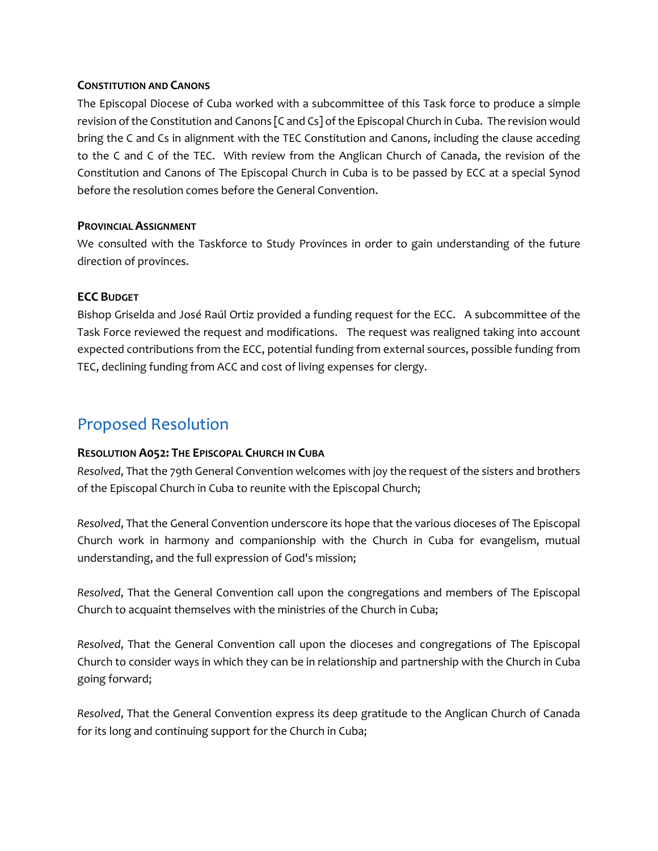#### **CONSTITUTION AND CANONS**

The Episcopal Diocese of Cuba worked with a subcommittee of this Task force to produce a simple revision of the Constitution and Canons [C and Cs] of the Episcopal Church in Cuba. The revision would bring the C and Cs in alignment with the TEC Constitution and Canons, including the clause acceding to the C and C of the TEC. With review from the Anglican Church of Canada, the revision of the Constitution and Canons of The Episcopal Church in Cuba is to be passed by ECC at a special Synod before the resolution comes before the General Convention.

#### **PROVINCIAL ASSIGNMENT**

We consulted with the Taskforce to Study Provinces in order to gain understanding of the future direction of provinces.

#### **ECC BUDGET**

Bishop Griselda and José Raúl Ortiz provided a funding request for the ECC. A subcommittee of the Task Force reviewed the request and modifications. The request was realigned taking into account expected contributions from the ECC, potential funding from external sources, possible funding from TEC, declining funding from ACC and cost of living expenses for clergy.

### Proposed Resolution

#### **RESOLUTION A052: THE EPISCOPAL CHURCH IN CUBA**

*Resolved*, That the 79th General Convention welcomes with joy the request of the sisters and brothers of the Episcopal Church in Cuba to reunite with the Episcopal Church;

*Resolved*, That the General Convention underscore its hope that the various dioceses of The Episcopal Church work in harmony and companionship with the Church in Cuba for evangelism, mutual understanding, and the full expression of God's mission;

*Resolved*, That the General Convention call upon the congregations and members of The Episcopal Church to acquaint themselves with the ministries of the Church in Cuba;

*Resolved*, That the General Convention call upon the dioceses and congregations of The Episcopal Church to consider ways in which they can be in relationship and partnership with the Church in Cuba going forward;

*Resolved*, That the General Convention express its deep gratitude to the Anglican Church of Canada for its long and continuing support for the Church in Cuba;